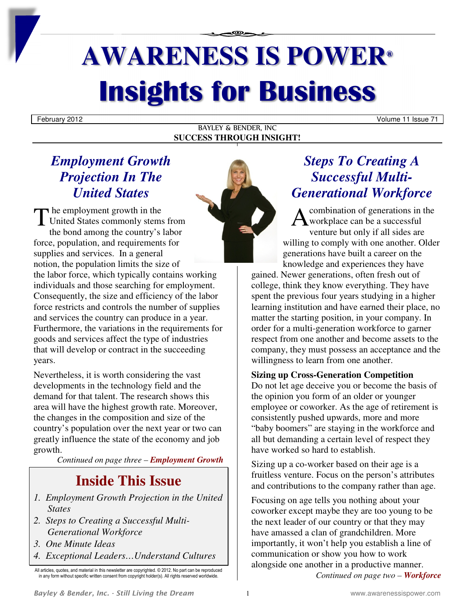# **AWARENESS IS POWER® Insights for Business**

BAYLEY & BENDER, INC **SUCCESS THROUGH INSIGHT!**

### *Employment Growth Projection In The United States*

 $\blacktriangleright$  he employment growth in the The employment growth in the<br>United States commonly stems from<br>the bord empire the country's leber the bond among the country's labor force, population, and requirements for supplies and services. In a general notion, the population limits the size of the labor force, which typically contains working individuals and those searching for employment. Consequently, the size and efficiency of the labor force restricts and controls the number of supplies and services the country can produce in a year. Furthermore, the variations in the requirements for goods and services affect the type of industries that will develop or contract in the succeeding years.

Nevertheless, it is worth considering the vast developments in the technology field and the demand for that talent. The research shows this area will have the highest growth rate. Moreover, the changes in the composition and size of the country's population over the next year or two can greatly influence the state of the economy and job growth.

*Continued on page three – Employment Growth*

### **Inside This Issue**

- *1. Employment Growth Projection in the United States*
- *2. Steps to Creating a Successful Multi-Generational Workforce*
- *3. One Minute Ideas*
- *4. Exceptional Leaders…Understand Cultures*

### *Steps To Creating A Successful Multi-Generational Workforce*

combination of generations in the workplace can be a successful venture but only if all sides are willing to comply with one another. Older generations have built a career on the knowledge and experiences they have

gained. Newer generations, often fresh out of college, think they know everything. They have spent the previous four years studying in a higher learning institution and have earned their place, no matter the starting position, in your company. In order for a multi-generation workforce to garner respect from one another and become assets to the company, they must possess an acceptance and the willingness to learn from one another.

### **Sizing up Cross-Generation Competition**

Do not let age deceive you or become the basis of the opinion you form of an older or younger employee or coworker. As the age of retirement is consistently pushed upwards, more and more "baby boomers" are staying in the workforce and all but demanding a certain level of respect they have worked so hard to establish.

Sizing up a co-worker based on their age is a fruitless venture. Focus on the person's attributes and contributions to the company rather than age.

Focusing on age tells you nothing about your coworker except maybe they are too young to be the next leader of our country or that they may have amassed a clan of grandchildren. More importantly, it won't help you establish a line of communication or show you how to work alongside one another in a productive manner. *Continued on page two – Workforce*



All articles, quotes, and material in this newsletter are copyrighted. © 2012. No part can be reproduced in any form without specific written consent from copyright holder(s). All rights reserved worldwide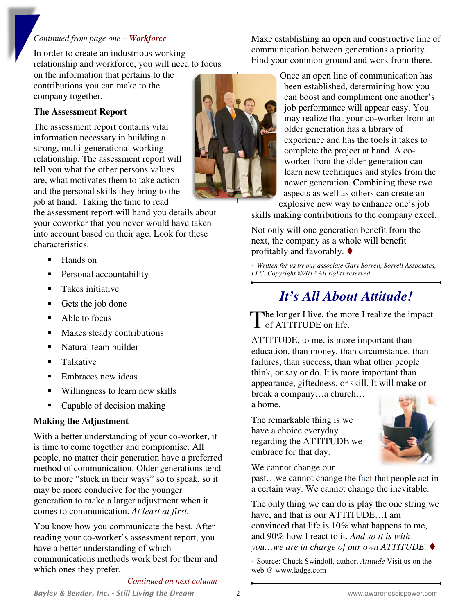#### *Continued from page one – Workforce*

In order to create an industrious working relationship and workforce, you will need to focus on the information that pertains to the contributions you can make to the

**The Assessment Report** 

company together.

The assessment report contains vital information necessary in building a strong, multi-generational working relationship. The assessment report will tell you what the other persons values are, what motivates them to take action and the personal skills they bring to the job at hand. Taking the time to read

the assessment report will hand you details about your coworker that you never would have taken into account based on their age. Look for these characteristics.

- Hands on
- **Personal accountability**
- Takes initiative
- Gets the job done
- Able to focus
- Makes steady contributions
- Natural team builder
- **Talkative**
- **Embraces new ideas**
- Willingness to learn new skills
- Capable of decision making

### **Making the Adjustment**

With a better understanding of your co-worker, it is time to come together and compromise. All people, no matter their generation have a preferred method of communication. Older generations tend to be more "stuck in their ways" so to speak, so it may be more conducive for the younger generation to make a larger adjustment when it comes to communication. *At least at first.* 

You know how you communicate the best. After reading your co-worker's assessment report, you have a better understanding of which communications methods work best for them and which ones they prefer.

*Continued on next column –* 

Make establishing an open and constructive line of communication between generations a priority. Find your common ground and work from there.

> Once an open line of communication has been established, determining how you can boost and compliment one another's job performance will appear easy. You may realize that your co-worker from an older generation has a library of experience and has the tools it takes to complete the project at hand. A coworker from the older generation can learn new techniques and styles from the newer generation. Combining these two aspects as well as others can create an explosive new way to enhance one's job

skills making contributions to the company excel.

Not only will one generation benefit from the next, the company as a whole will benefit profitably and favorably.  $\blacklozenge$ 

*~ Written for us by our associate Gary Sorrell, Sorrell Associates, LLC. Copyright ©2012 All rights reserved* 

# *It's All About Attitude!*

The longer I live, the more I realize the impact The longer I live, the monoder and interest on life.

ATTITUDE, to me, is more important than education, than money, than circumstance, than failures, than success, than what other people think, or say or do. It is more important than appearance, giftedness, or skill. It will make or break a company…a church…

a home.

The remarkable thing is we have a choice everyday regarding the ATTITUDE we embrace for that day.



We cannot change our

past…we cannot change the fact that people act in a certain way. We cannot change the inevitable.

The only thing we can do is play the one string we have, and that is our ATTITUDE…I am convinced that life is 10% what happens to me, and 90% how I react to it. *And so it is with you…we are in charge of our own ATTITUDE.* 

*~* Source: Chuck Swindoll, author, *Attitude* Visit us on the web @ www.ladge.com

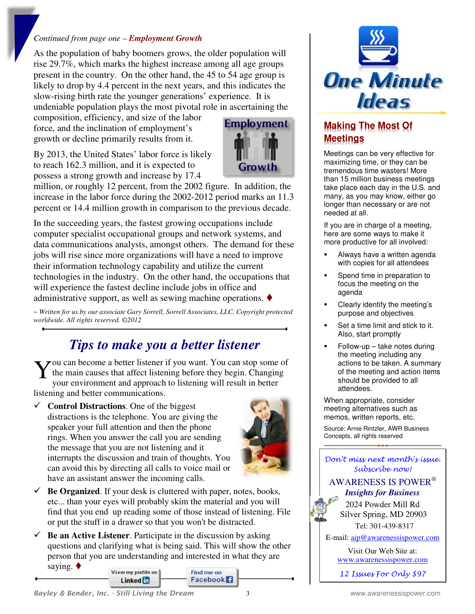#### *Continued from page one – Employment Growth*

As the population of baby boomers grows, the older population will rise 29.7%, which marks the highest increase among all age groups present in the country. On the other hand, the 45 to 54 age group is likely to drop by 4.4 percent in the next years, and this indicates the slow-rising birth rate the younger generations' experience. It is undeniable population plays the most pivotal role in ascertaining the

composition, efficiency, and size of the labor force, and the inclination of employment's growth or decline primarily results from it.

By 2013, the United States' labor force is likely to reach 162.3 million, and it is expected to possess a strong growth and increase by 17.4



million, or roughly 12 percent, from the 2002 figure. In addition, the increase in the labor force during the 2002-2012 period marks an 11.3 percent or 14.4 million growth in comparison to the previous decade.

In the succeeding years, the fastest growing occupations include computer specialist occupational groups and network systems, and data communications analysts, amongst others. The demand for these jobs will rise since more organizations will have a need to improve their information technology capability and utilize the current technologies in the industry. On the other hand, the occupations that will experience the fastest decline include jobs in office and administrative support, as well as sewing machine operations.  $\blacklozenge$ 

*~ Written for us by our associate Gary Sorrell, Sorrell Associates, LLC. Copyright protected worldwide. All rights reserved. ©2012* 

### *Tips to make you a better listener*

You can become a better listener if you want. You can stop some of<br>the main causes that affect listening before they begin. Changing<br>vour environment and approach to listening will result in better the main causes that affect listening before they begin. Changing your environment and approach to listening will result in better listening and better communications.

 $\checkmark$  **Control Distractions**. One of the biggest distractions is the telephone. You are giving the speaker your full attention and then the phone rings. When you answer the call you are sending the message that you are not listening and it interrupts the discussion and train of thoughts. You can avoid this by directing all calls to voice mail or have an assistant answer the incoming calls.



- $\checkmark$  **Be Organized**. If your desk is cluttered with paper, notes, books, etc... than your eyes will probably skim the material and you will find that you end up reading some of those instead of listening. File or put the stuff in a drawer so that you won't be distracted.
- $\checkmark$  **Be an Active Listener**. Participate in the discussion by asking questions and clarifying what is being said. This will show the other person that you are understanding and interested in what they are





### **Making The Most Of Meetings**

Meetings can be very effective for maximizing time, or they can be tremendous time wasters! More than 15 million business meetings take place each day in the U.S. and many, as you may know, either go longer than necessary or are not needed at all.

If you are in charge of a meeting, here are some ways to make it more productive for all involved:

- Always have a written agenda with copies for all attendees
- Spend time in preparation to focus the meeting on the agenda
- Clearly identify the meeting's purpose and objectives
- Set a time limit and stick to it. Also, start promptly
- Follow-up take notes during the meeting including any actions to be taken. A summary of the meeting and action items should be provided to all attendees.

When appropriate, consider meeting alternatives such as memos, written reports, etc.

Source: Arnie Rintzler, AWR Business Concepts, all rights reserved

Don't miss next month's issue. Subscribe now!

#### AWARENESS IS POWER®  *Insights for Business*

2024 Powder Mill Rd Silver Spring, MD 20903 Tel: 301-439-8317

E-mail: aip@awarenessispower.com

Visit Our Web Site at: www.awarenessispower.com

12 Issues For Only \$97